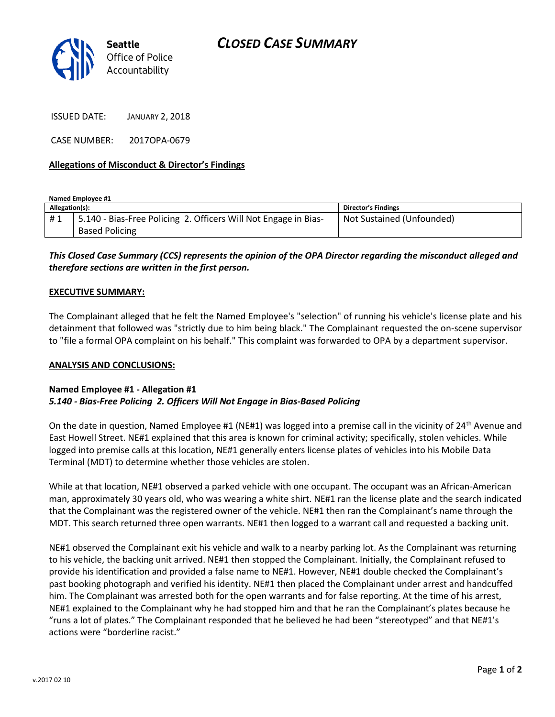

ISSUED DATE: JANUARY 2, 2018

CASE NUMBER: 2017OPA-0679

## **Allegations of Misconduct & Director's Findings**

| Named Employee #1 |                                                                 |                           |
|-------------------|-----------------------------------------------------------------|---------------------------|
| Allegation(s):    |                                                                 | Director's Findings       |
| #1                | 5.140 - Bias-Free Policing 2. Officers Will Not Engage in Bias- | Not Sustained (Unfounded) |
|                   | <b>Based Policing</b>                                           |                           |

# *This Closed Case Summary (CCS) represents the opinion of the OPA Director regarding the misconduct alleged and therefore sections are written in the first person.*

#### **EXECUTIVE SUMMARY:**

The Complainant alleged that he felt the Named Employee's "selection" of running his vehicle's license plate and his detainment that followed was "strictly due to him being black." The Complainant requested the on-scene supervisor to "file a formal OPA complaint on his behalf." This complaint was forwarded to OPA by a department supervisor.

#### **ANALYSIS AND CONCLUSIONS:**

## **Named Employee #1 - Allegation #1** *5.140 - Bias-Free Policing 2. Officers Will Not Engage in Bias-Based Policing*

On the date in question, Named Employee #1 (NE#1) was logged into a premise call in the vicinity of 24<sup>th</sup> Avenue and East Howell Street. NE#1 explained that this area is known for criminal activity; specifically, stolen vehicles. While logged into premise calls at this location, NE#1 generally enters license plates of vehicles into his Mobile Data Terminal (MDT) to determine whether those vehicles are stolen.

While at that location, NE#1 observed a parked vehicle with one occupant. The occupant was an African-American man, approximately 30 years old, who was wearing a white shirt. NE#1 ran the license plate and the search indicated that the Complainant was the registered owner of the vehicle. NE#1 then ran the Complainant's name through the MDT. This search returned three open warrants. NE#1 then logged to a warrant call and requested a backing unit.

NE#1 observed the Complainant exit his vehicle and walk to a nearby parking lot. As the Complainant was returning to his vehicle, the backing unit arrived. NE#1 then stopped the Complainant. Initially, the Complainant refused to provide his identification and provided a false name to NE#1. However, NE#1 double checked the Complainant's past booking photograph and verified his identity. NE#1 then placed the Complainant under arrest and handcuffed him. The Complainant was arrested both for the open warrants and for false reporting. At the time of his arrest, NE#1 explained to the Complainant why he had stopped him and that he ran the Complainant's plates because he "runs a lot of plates." The Complainant responded that he believed he had been "stereotyped" and that NE#1's actions were "borderline racist."